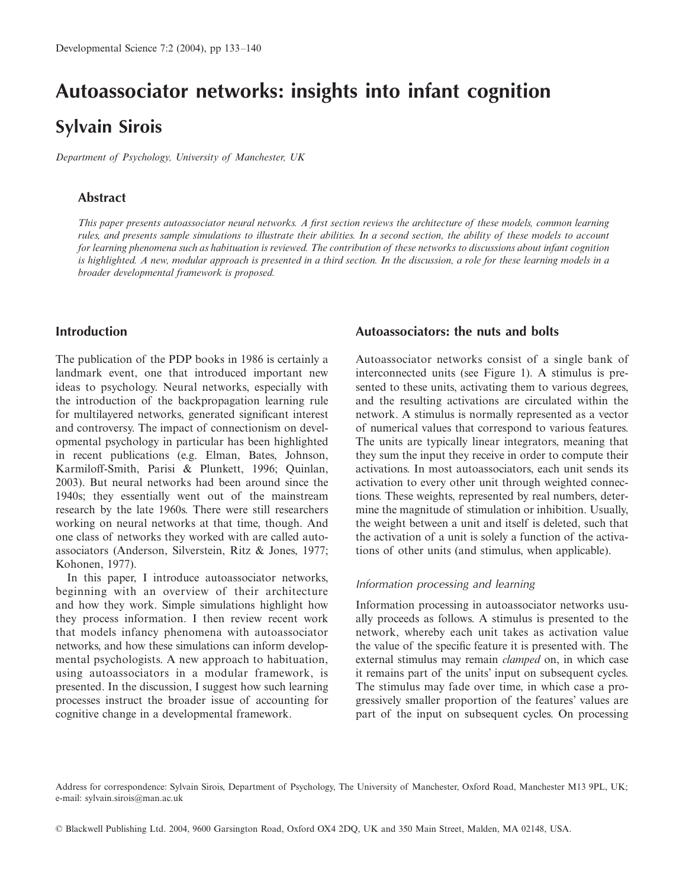# Autoassociator networks: insights into infant cognition **Sylvain Sirois**

*Department of Psychology, University of Manchester, UK*

### **Abstract**

*This paper presents autoassociator neural networks. A first section reviews the architecture of these models, common learning rules, and presents sample simulations to illustrate their abilities. In a second section, the ability of these models to account for learning phenomena such as habituation is reviewed. The contribution of these networks to discussions about infant cognition is highlighted. A new, modular approach is presented in a third section. In the discussion, a role for these learning models in a broader developmental framework is proposed.*

## **Introduction**

The publication of the PDP books in 1986 is certainly a landmark event, one that introduced important new ideas to psychology. Neural networks, especially with the introduction of the backpropagation learning rule for multilayered networks, generated significant interest and controversy. The impact of connectionism on developmental psychology in particular has been highlighted in recent publications (e.g. Elman, Bates, Johnson, Karmiloff-Smith, Parisi & Plunkett, 1996; Quinlan, 2003). But neural networks had been around since the 1940s; they essentially went out of the mainstream research by the late 1960s. There were still researchers working on neural networks at that time, though. And one class of networks they worked with are called autoassociators (Anderson, Silverstein, Ritz & Jones, 1977; Kohonen, 1977).

In this paper, I introduce autoassociator networks, beginning with an overview of their architecture and how they work. Simple simulations highlight how they process information. I then review recent work that models infancy phenomena with autoassociator networks, and how these simulations can inform developmental psychologists. A new approach to habituation, using autoassociators in a modular framework, is presented. In the discussion, I suggest how such learning processes instruct the broader issue of accounting for cognitive change in a developmental framework.

#### **Autoassociators: the nuts and bolts**

Autoassociator networks consist of a single bank of interconnected units (see Figure 1). A stimulus is presented to these units, activating them to various degrees, and the resulting activations are circulated within the network. A stimulus is normally represented as a vector of numerical values that correspond to various features. The units are typically linear integrators, meaning that they sum the input they receive in order to compute their activations. In most autoassociators, each unit sends its activation to every other unit through weighted connections. These weights, represented by real numbers, determine the magnitude of stimulation or inhibition. Usually, the weight between a unit and itself is deleted, such that the activation of a unit is solely a function of the activations of other units (and stimulus, when applicable).

#### *Information processing and learning*

Information processing in autoassociator networks usually proceeds as follows. A stimulus is presented to the network, whereby each unit takes as activation value the value of the specific feature it is presented with. The external stimulus may remain *clamped* on, in which case it remains part of the units' input on subsequent cycles. The stimulus may fade over time, in which case a progressively smaller proportion of the features' values are part of the input on subsequent cycles. On processing

© Blackwell Publishing Ltd. 2004, 9600 Garsington Road, Oxford OX4 2DQ, UK and 350 Main Street, Malden, MA 02148, USA.

Address for correspondence: Sylvain Sirois, Department of Psychology, The University of Manchester, Oxford Road, Manchester M13 9PL, UK; e-mail: sylvain.sirois@man.ac.uk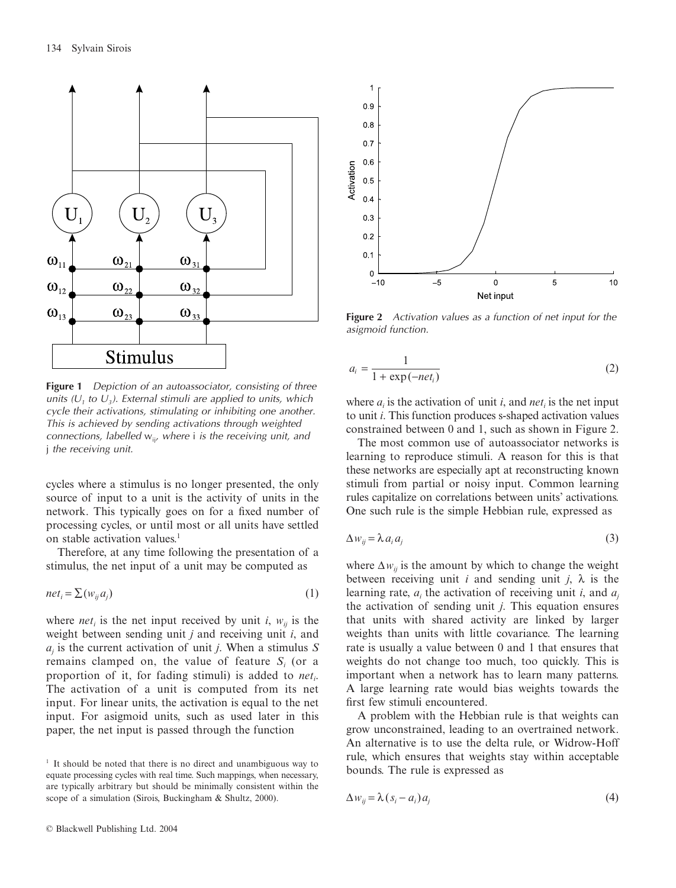

**Figure 1** *Depiction of an autoassociator, consisting of three units (* $U_1$  *to*  $U_3$ *). External stimuli are applied to units, which cycle their activations, stimulating or inhibiting one another. This is achieved by sending activations through weighted connections, labelled* wij*, where* i *is the receiving unit, and* j *the receiving unit.*

cycles where a stimulus is no longer presented, the only source of input to a unit is the activity of units in the network. This typically goes on for a fixed number of processing cycles, or until most or all units have settled on stable activation values.<sup>1</sup>

Therefore, at any time following the presentation of a stimulus, the net input of a unit may be computed as

$$
net_i = \sum (w_{ij} a_j)
$$
 (1)

where *net<sub>i</sub>* is the net input received by unit *i*,  $w_{ij}$  is the weight between sending unit *j* and receiving unit *i*, and *aj* is the current activation of unit *j*. When a stimulus *S* remains clamped on, the value of feature  $S_i$  (or a proportion of it, for fading stimuli) is added to *neti* . The activation of a unit is computed from its net input. For linear units, the activation is equal to the net input. For asigmoid units, such as used later in this paper, the net input is passed through the function



**Figure 2** *Activation values as a function of net input for the asigmoid function.*

$$
a_i = \frac{1}{1 + \exp(-net_i)}
$$
 (2)

where  $a_i$  is the activation of unit  $i$ , and *net<sub>i</sub>* is the net input to unit *i*. This function produces s-shaped activation values constrained between 0 and 1, such as shown in Figure 2.

The most common use of autoassociator networks is learning to reproduce stimuli. A reason for this is that these networks are especially apt at reconstructing known stimuli from partial or noisy input. Common learning rules capitalize on correlations between units' activations. One such rule is the simple Hebbian rule, expressed as

$$
\Delta w_{ij} = \lambda a_i a_j \tag{3}
$$

where  $\Delta w_{ij}$  is the amount by which to change the weight between receiving unit *i* and sending unit *j*,  $\lambda$  is the learning rate, *ai* the activation of receiving unit *i*, and *aj* the activation of sending unit *j*. This equation ensures that units with shared activity are linked by larger weights than units with little covariance. The learning rate is usually a value between 0 and 1 that ensures that weights do not change too much, too quickly. This is important when a network has to learn many patterns. A large learning rate would bias weights towards the first few stimuli encountered.

A problem with the Hebbian rule is that weights can grow unconstrained, leading to an overtrained network. An alternative is to use the delta rule, or Widrow-Hoff rule, which ensures that weights stay within acceptable bounds. The rule is expressed as

$$
\Delta w_{ij} = \lambda (s_i - a_i) a_j \tag{4}
$$

<sup>&</sup>lt;sup>1</sup> It should be noted that there is no direct and unambiguous way to equate processing cycles with real time. Such mappings, when necessary, are typically arbitrary but should be minimally consistent within the scope of a simulation (Sirois, Buckingham & Shultz, 2000).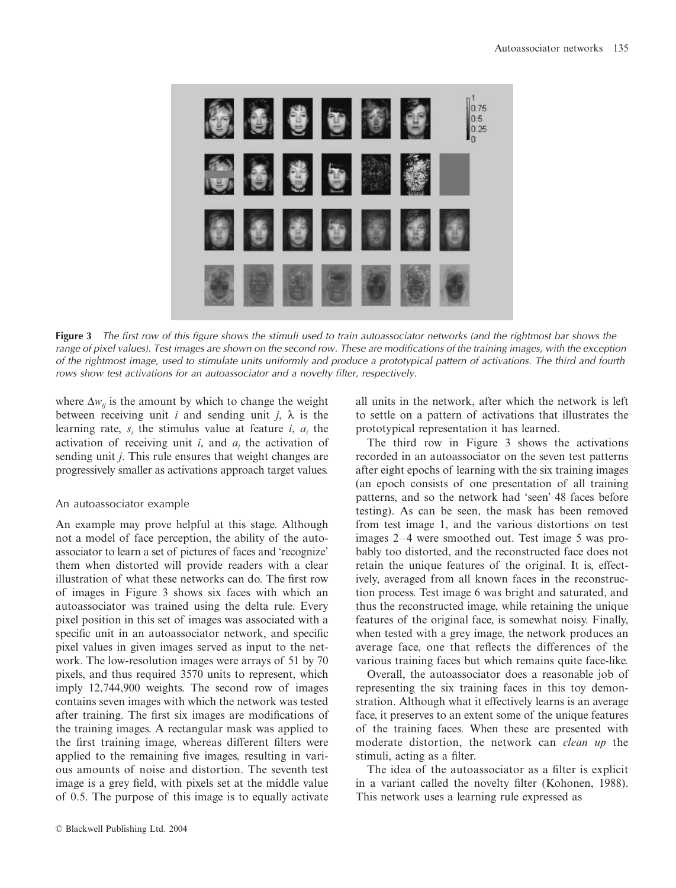

**Figure 3** *The first row of this figure shows the stimuli used to train autoassociator networks (and the rightmost bar shows the range of pixel values). Test images are shown on the second row. These are modifications of the training images, with the exception of the rightmost image, used to stimulate units uniformly and produce a prototypical pattern of activations. The third and fourth rows show test activations for an autoassociator and a novelty filter, respectively.*

where  $\Delta w_{ij}$  is the amount by which to change the weight between receiving unit *i* and sending unit *j*,  $\lambda$  is the learning rate,  $s_i$  the stimulus value at feature  $i$ ,  $a_i$  the activation of receiving unit *i*, and *aj* the activation of sending unit *j*. This rule ensures that weight changes are progressively smaller as activations approach target values.

#### An autoassociator example

An example may prove helpful at this stage. Although not a model of face perception, the ability of the autoassociator to learn a set of pictures of faces and 'recognize' them when distorted will provide readers with a clear illustration of what these networks can do. The first row of images in Figure 3 shows six faces with which an autoassociator was trained using the delta rule. Every pixel position in this set of images was associated with a specific unit in an autoassociator network, and specific pixel values in given images served as input to the network. The low-resolution images were arrays of 51 by 70 pixels, and thus required 3570 units to represent, which imply 12,744,900 weights. The second row of images contains seven images with which the network was tested after training. The first six images are modifications of the training images. A rectangular mask was applied to the first training image, whereas different filters were applied to the remaining five images, resulting in various amounts of noise and distortion. The seventh test image is a grey field, with pixels set at the middle value of 0.5. The purpose of this image is to equally activate

all units in the network, after which the network is left to settle on a pattern of activations that illustrates the prototypical representation it has learned.

The third row in Figure 3 shows the activations recorded in an autoassociator on the seven test patterns after eight epochs of learning with the six training images (an epoch consists of one presentation of all training patterns, and so the network had 'seen' 48 faces before testing). As can be seen, the mask has been removed from test image 1, and the various distortions on test images 2–4 were smoothed out. Test image 5 was probably too distorted, and the reconstructed face does not retain the unique features of the original. It is, effectively, averaged from all known faces in the reconstruction process. Test image 6 was bright and saturated, and thus the reconstructed image, while retaining the unique features of the original face, is somewhat noisy. Finally, when tested with a grey image, the network produces an average face, one that reflects the differences of the various training faces but which remains quite face-like.

Overall, the autoassociator does a reasonable job of representing the six training faces in this toy demonstration. Although what it effectively learns is an average face, it preserves to an extent some of the unique features of the training faces. When these are presented with moderate distortion, the network can *clean up* the stimuli, acting as a filter.

The idea of the autoassociator as a filter is explicit in a variant called the novelty filter (Kohonen, 1988). This network uses a learning rule expressed as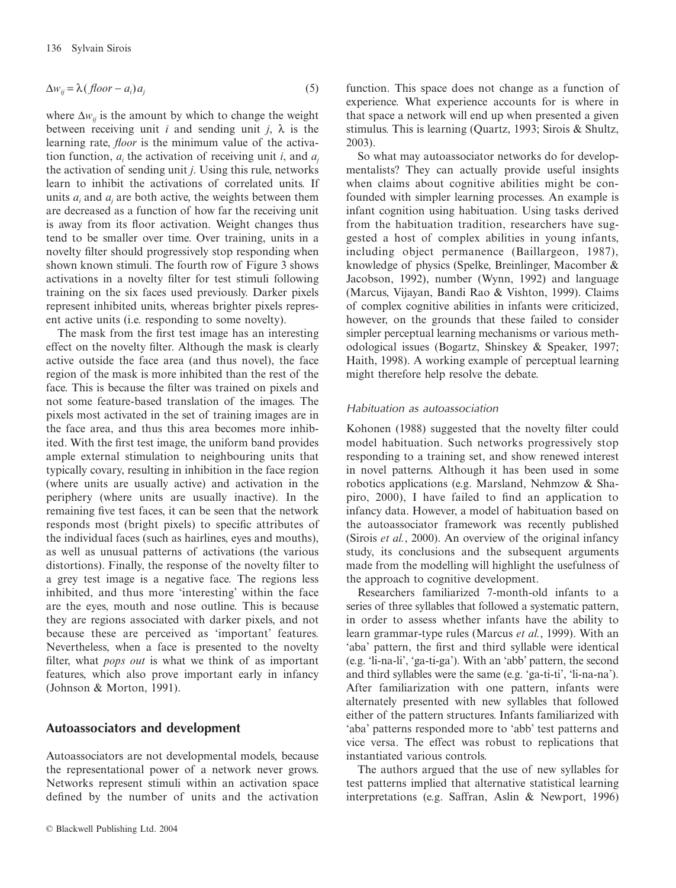$$
\Delta w_{ij} = \lambda (floor - a_i) a_j \tag{5}
$$

where  $\Delta w_{ij}$  is the amount by which to change the weight between receiving unit *i* and sending unit *j*,  $\lambda$  is the learning rate, *floor* is the minimum value of the activation function,  $a_i$ , the activation of receiving unit *i*, and  $a_i$ the activation of sending unit *j*. Using this rule, networks learn to inhibit the activations of correlated units. If units  $a_i$  and  $a_j$  are both active, the weights between them are decreased as a function of how far the receiving unit is away from its floor activation. Weight changes thus tend to be smaller over time. Over training, units in a novelty filter should progressively stop responding when shown known stimuli. The fourth row of Figure 3 shows activations in a novelty filter for test stimuli following training on the six faces used previously. Darker pixels represent inhibited units, whereas brighter pixels represent active units (i.e. responding to some novelty).

The mask from the first test image has an interesting effect on the novelty filter. Although the mask is clearly active outside the face area (and thus novel), the face region of the mask is more inhibited than the rest of the face. This is because the filter was trained on pixels and not some feature-based translation of the images. The pixels most activated in the set of training images are in the face area, and thus this area becomes more inhibited. With the first test image, the uniform band provides ample external stimulation to neighbouring units that typically covary, resulting in inhibition in the face region (where units are usually active) and activation in the periphery (where units are usually inactive). In the remaining five test faces, it can be seen that the network responds most (bright pixels) to specific attributes of the individual faces (such as hairlines, eyes and mouths), as well as unusual patterns of activations (the various distortions). Finally, the response of the novelty filter to a grey test image is a negative face. The regions less inhibited, and thus more 'interesting' within the face are the eyes, mouth and nose outline. This is because they are regions associated with darker pixels, and not because these are perceived as 'important' features. Nevertheless, when a face is presented to the novelty filter, what *pops out* is what we think of as important features, which also prove important early in infancy (Johnson & Morton, 1991).

#### **Autoassociators and development**

Autoassociators are not developmental models, because the representational power of a network never grows. Networks represent stimuli within an activation space defined by the number of units and the activation function. This space does not change as a function of experience. What experience accounts for is where in that space a network will end up when presented a given stimulus. This is learning (Quartz, 1993; Sirois & Shultz, 2003).

So what may autoassociator networks do for developmentalists? They can actually provide useful insights when claims about cognitive abilities might be confounded with simpler learning processes. An example is infant cognition using habituation. Using tasks derived from the habituation tradition, researchers have suggested a host of complex abilities in young infants, including object permanence (Baillargeon, 1987), knowledge of physics (Spelke, Breinlinger, Macomber & Jacobson, 1992), number (Wynn, 1992) and language (Marcus, Vijayan, Bandi Rao & Vishton, 1999). Claims of complex cognitive abilities in infants were criticized, however, on the grounds that these failed to consider simpler perceptual learning mechanisms or various methodological issues (Bogartz, Shinskey & Speaker, 1997; Haith, 1998). A working example of perceptual learning might therefore help resolve the debate.

#### *Habituation as autoassociation*

Kohonen (1988) suggested that the novelty filter could model habituation. Such networks progressively stop responding to a training set, and show renewed interest in novel patterns. Although it has been used in some robotics applications (e.g. Marsland, Nehmzow & Shapiro, 2000), I have failed to find an application to infancy data. However, a model of habituation based on the autoassociator framework was recently published (Sirois *et al.*, 2000). An overview of the original infancy study, its conclusions and the subsequent arguments made from the modelling will highlight the usefulness of the approach to cognitive development.

Researchers familiarized 7-month-old infants to a series of three syllables that followed a systematic pattern, in order to assess whether infants have the ability to learn grammar-type rules (Marcus *et al.*, 1999). With an 'aba' pattern, the first and third syllable were identical (e.g. 'li-na-li', 'ga-ti-ga'). With an 'abb' pattern, the second and third syllables were the same (e.g. 'ga-ti-ti', 'li-na-na'). After familiarization with one pattern, infants were alternately presented with new syllables that followed either of the pattern structures. Infants familiarized with 'aba' patterns responded more to 'abb' test patterns and vice versa. The effect was robust to replications that instantiated various controls.

The authors argued that the use of new syllables for test patterns implied that alternative statistical learning interpretations (e.g. Saffran, Aslin & Newport, 1996)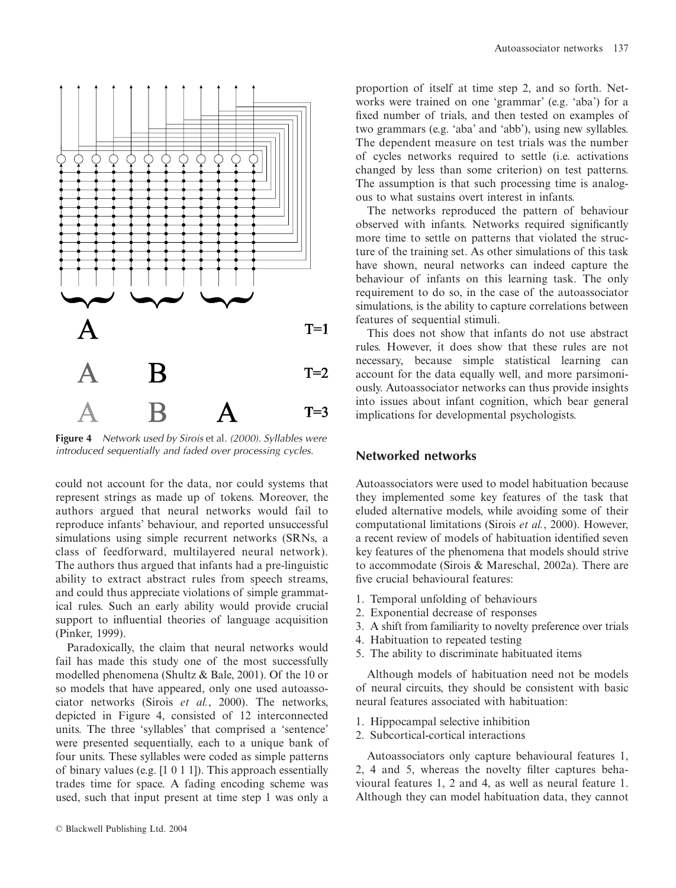

**Figure 4** *Network used by Sirois* et al. *(2000). Syllables were introduced sequentially and faded over processing cycles.*

could not account for the data, nor could systems that represent strings as made up of tokens. Moreover, the authors argued that neural networks would fail to reproduce infants' behaviour, and reported unsuccessful simulations using simple recurrent networks (SRNs, a class of feedforward, multilayered neural network). The authors thus argued that infants had a pre-linguistic ability to extract abstract rules from speech streams, and could thus appreciate violations of simple grammatical rules. Such an early ability would provide crucial support to influential theories of language acquisition (Pinker, 1999).

Paradoxically, the claim that neural networks would fail has made this study one of the most successfully modelled phenomena (Shultz & Bale, 2001). Of the 10 or so models that have appeared, only one used autoassociator networks (Sirois *et al.*, 2000). The networks, depicted in Figure 4, consisted of 12 interconnected units. The three 'syllables' that comprised a 'sentence' were presented sequentially, each to a unique bank of four units. These syllables were coded as simple patterns of binary values (e.g. [1 0 1 1]). This approach essentially trades time for space. A fading encoding scheme was used, such that input present at time step 1 was only a

proportion of itself at time step 2, and so forth. Networks were trained on one 'grammar' (e.g. 'aba') for a fixed number of trials, and then tested on examples of two grammars (e.g. 'aba' and 'abb'), using new syllables. The dependent measure on test trials was the number of cycles networks required to settle (i.e. activations changed by less than some criterion) on test patterns. The assumption is that such processing time is analogous to what sustains overt interest in infants.

The networks reproduced the pattern of behaviour observed with infants. Networks required significantly more time to settle on patterns that violated the structure of the training set. As other simulations of this task have shown, neural networks can indeed capture the behaviour of infants on this learning task. The only requirement to do so, in the case of the autoassociator simulations, is the ability to capture correlations between features of sequential stimuli.

This does not show that infants do not use abstract rules. However, it does show that these rules are not necessary, because simple statistical learning can account for the data equally well, and more parsimoniously. Autoassociator networks can thus provide insights into issues about infant cognition, which bear general implications for developmental psychologists.

# **Networked networks**

Autoassociators were used to model habituation because they implemented some key features of the task that eluded alternative models, while avoiding some of their computational limitations (Sirois *et al.*, 2000). However, a recent review of models of habituation identified seven key features of the phenomena that models should strive to accommodate (Sirois & Mareschal, 2002a). There are five crucial behavioural features:

- 1. Temporal unfolding of behaviours
- 2. Exponential decrease of responses
- 3. A shift from familiarity to novelty preference over trials
- 4. Habituation to repeated testing
- 5. The ability to discriminate habituated items

Although models of habituation need not be models of neural circuits, they should be consistent with basic neural features associated with habituation:

- 1. Hippocampal selective inhibition
- 2. Subcortical-cortical interactions

Autoassociators only capture behavioural features 1, 2, 4 and 5, whereas the novelty filter captures behavioural features 1, 2 and 4, as well as neural feature 1. Although they can model habituation data, they cannot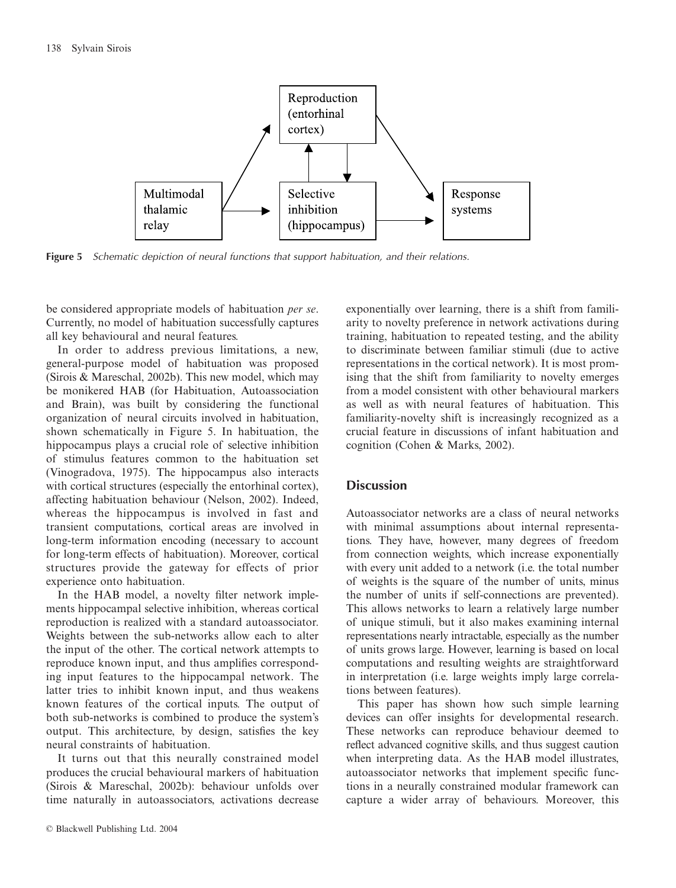

**Figure 5** *Schematic depiction of neural functions that support habituation, and their relations.*

be considered appropriate models of habituation *per se*. Currently, no model of habituation successfully captures all key behavioural and neural features.

In order to address previous limitations, a new, general-purpose model of habituation was proposed (Sirois & Mareschal, 2002b). This new model, which may be monikered HAB (for Habituation, Autoassociation and Brain), was built by considering the functional organization of neural circuits involved in habituation, shown schematically in Figure 5. In habituation, the hippocampus plays a crucial role of selective inhibition of stimulus features common to the habituation set (Vinogradova, 1975). The hippocampus also interacts with cortical structures (especially the entorhinal cortex), affecting habituation behaviour (Nelson, 2002). Indeed, whereas the hippocampus is involved in fast and transient computations, cortical areas are involved in long-term information encoding (necessary to account for long-term effects of habituation). Moreover, cortical structures provide the gateway for effects of prior experience onto habituation.

In the HAB model, a novelty filter network implements hippocampal selective inhibition, whereas cortical reproduction is realized with a standard autoassociator. Weights between the sub-networks allow each to alter the input of the other. The cortical network attempts to reproduce known input, and thus amplifies corresponding input features to the hippocampal network. The latter tries to inhibit known input, and thus weakens known features of the cortical inputs. The output of both sub-networks is combined to produce the system's output. This architecture, by design, satisfies the key neural constraints of habituation.

It turns out that this neurally constrained model produces the crucial behavioural markers of habituation (Sirois & Mareschal, 2002b): behaviour unfolds over time naturally in autoassociators, activations decrease

© Blackwell Publishing Ltd. 2004

exponentially over learning, there is a shift from familiarity to novelty preference in network activations during training, habituation to repeated testing, and the ability to discriminate between familiar stimuli (due to active representations in the cortical network). It is most promising that the shift from familiarity to novelty emerges from a model consistent with other behavioural markers as well as with neural features of habituation. This familiarity-novelty shift is increasingly recognized as a crucial feature in discussions of infant habituation and cognition (Cohen & Marks, 2002).

# **Discussion**

Autoassociator networks are a class of neural networks with minimal assumptions about internal representations. They have, however, many degrees of freedom from connection weights, which increase exponentially with every unit added to a network (i.e. the total number of weights is the square of the number of units, minus the number of units if self-connections are prevented). This allows networks to learn a relatively large number of unique stimuli, but it also makes examining internal representations nearly intractable, especially as the number of units grows large. However, learning is based on local computations and resulting weights are straightforward in interpretation (i.e. large weights imply large correlations between features).

This paper has shown how such simple learning devices can offer insights for developmental research. These networks can reproduce behaviour deemed to reflect advanced cognitive skills, and thus suggest caution when interpreting data. As the HAB model illustrates, autoassociator networks that implement specific functions in a neurally constrained modular framework can capture a wider array of behaviours. Moreover, this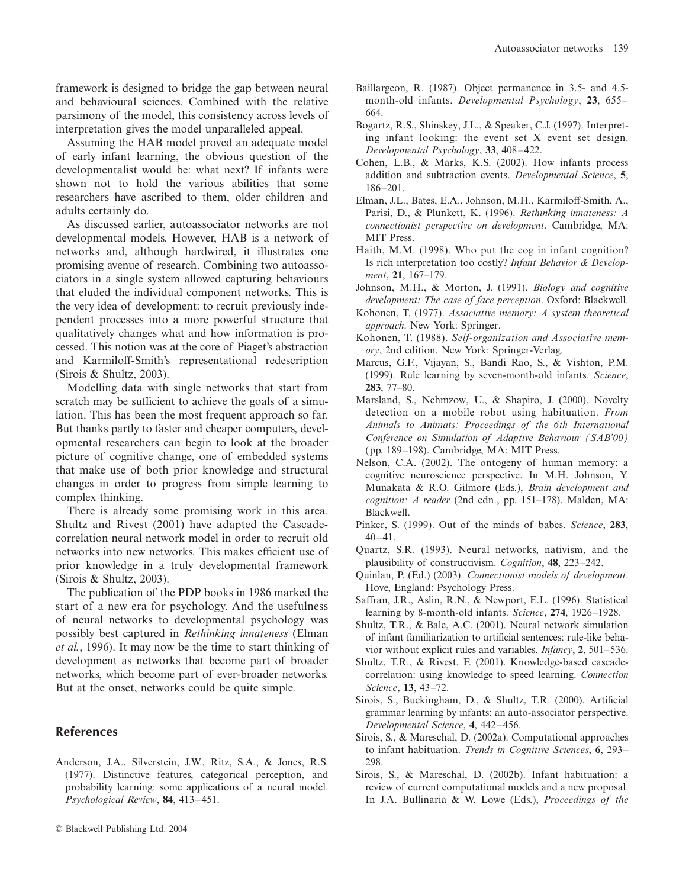framework is designed to bridge the gap between neural and behavioural sciences. Combined with the relative parsimony of the model, this consistency across levels of interpretation gives the model unparalleled appeal.

Assuming the HAB model proved an adequate model of early infant learning, the obvious question of the developmentalist would be: what next? If infants were shown not to hold the various abilities that some researchers have ascribed to them, older children and adults certainly do.

As discussed earlier, autoassociator networks are not developmental models. However, HAB is a network of networks and, although hardwired, it illustrates one promising avenue of research. Combining two autoassociators in a single system allowed capturing behaviours that eluded the individual component networks. This is the very idea of development: to recruit previously independent processes into a more powerful structure that qualitatively changes what and how information is processed. This notion was at the core of Piaget's abstraction and Karmiloff-Smith's representational redescription (Sirois & Shultz, 2003).

Modelling data with single networks that start from scratch may be sufficient to achieve the goals of a simulation. This has been the most frequent approach so far. But thanks partly to faster and cheaper computers, developmental researchers can begin to look at the broader picture of cognitive change, one of embedded systems that make use of both prior knowledge and structural changes in order to progress from simple learning to complex thinking.

There is already some promising work in this area. Shultz and Rivest (2001) have adapted the Cascadecorrelation neural network model in order to recruit old networks into new networks. This makes efficient use of prior knowledge in a truly developmental framework (Sirois & Shultz, 2003).

The publication of the PDP books in 1986 marked the start of a new era for psychology. And the usefulness of neural networks to developmental psychology was possibly best captured in *Rethinking innateness* (Elman *et al.*, 1996). It may now be the time to start thinking of development as networks that become part of broader networks, which become part of ever-broader networks. But at the onset, networks could be quite simple.

#### **References**

Anderson, J.A., Silverstein, J.W., Ritz, S.A., & Jones, R.S. (1977). Distinctive features, categorical perception, and probability learning: some applications of a neural model. *Psychological Review*, **84**, 413–451.

- Baillargeon, R. (1987). Object permanence in 3.5- and 4.5 month-old infants. *Developmental Psychology*, **23**, 655– 664.
- Bogartz, R.S., Shinskey, J.L., & Speaker, C.J. (1997). Interpreting infant looking: the event set X event set design. *Developmental Psychology*, **33**, 408–422.
- Cohen, L.B., & Marks, K.S. (2002). How infants process addition and subtraction events. *Developmental Science*, **5**, 186–201.
- Elman, J.L., Bates, E.A., Johnson, M.H., Karmiloff-Smith, A., Parisi, D., & Plunkett, K. (1996). *Rethinking innateness: A connectionist perspective on development*. Cambridge, MA: MIT Press.
- Haith, M.M. (1998). Who put the cog in infant cognition? Is rich interpretation too costly? *Infant Behavior & Development*, **21**, 167–179.
- Johnson, M.H., & Morton, J. (1991). *Biology and cognitive development: The case of face perception*. Oxford: Blackwell.
- Kohonen, T. (1977). *Associative memory: A system theoretical approach*. New York: Springer.
- Kohonen, T. (1988). *Self-organization and Associative memory*, 2nd edition. New York: Springer-Verlag.
- Marcus, G.F., Vijayan, S., Bandi Rao, S., & Vishton, P.M. (1999). Rule learning by seven-month-old infants. *Science*, **283**, 77–80.
- Marsland, S., Nehmzow, U., & Shapiro, J. (2000). Novelty detection on a mobile robot using habituation. *From Animals to Animats: Proceedings of the 6th International Conference on Simulation of Adaptive Behaviour (SAB'00)* (pp. 189–198). Cambridge, MA: MIT Press.
- Nelson, C.A. (2002). The ontogeny of human memory: a cognitive neuroscience perspective. In M.H. Johnson, Y. Munakata & R.O. Gilmore (Eds.), *Brain development and cognition: A reader* (2nd edn., pp. 151–178). Malden, MA: Blackwell.
- Pinker, S. (1999). Out of the minds of babes. *Science*, **283**, 40–41.
- Quartz, S.R. (1993). Neural networks, nativism, and the plausibility of constructivism. *Cognition*, **48**, 223–242.
- Quinlan, P. (Ed.) (2003). *Connectionist models of development*. Hove, England: Psychology Press.
- Saffran, J.R., Aslin, R.N., & Newport, E.L. (1996). Statistical learning by 8-month-old infants. *Science*, **274**, 1926–1928.
- Shultz, T.R., & Bale, A.C. (2001). Neural network simulation of infant familiarization to artificial sentences: rule-like behavior without explicit rules and variables. *Infancy*, **2**, 501–536.
- Shultz, T.R., & Rivest, F. (2001). Knowledge-based cascadecorrelation: using knowledge to speed learning. *Connection Science*, **13**, 43–72.
- Sirois, S., Buckingham, D., & Shultz, T.R. (2000). Artificial grammar learning by infants: an auto-associator perspective. *Developmental Science*, **4**, 442–456.
- Sirois, S., & Mareschal, D. (2002a). Computational approaches to infant habituation. *Trends in Cognitive Sciences*, **6**, 293– 298.
- Sirois, S., & Mareschal, D. (2002b). Infant habituation: a review of current computational models and a new proposal. In J.A. Bullinaria & W. Lowe (Eds.), *Proceedings of the*